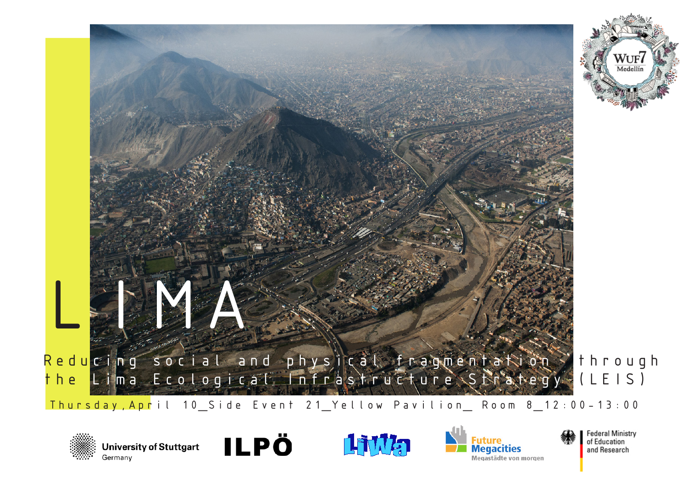